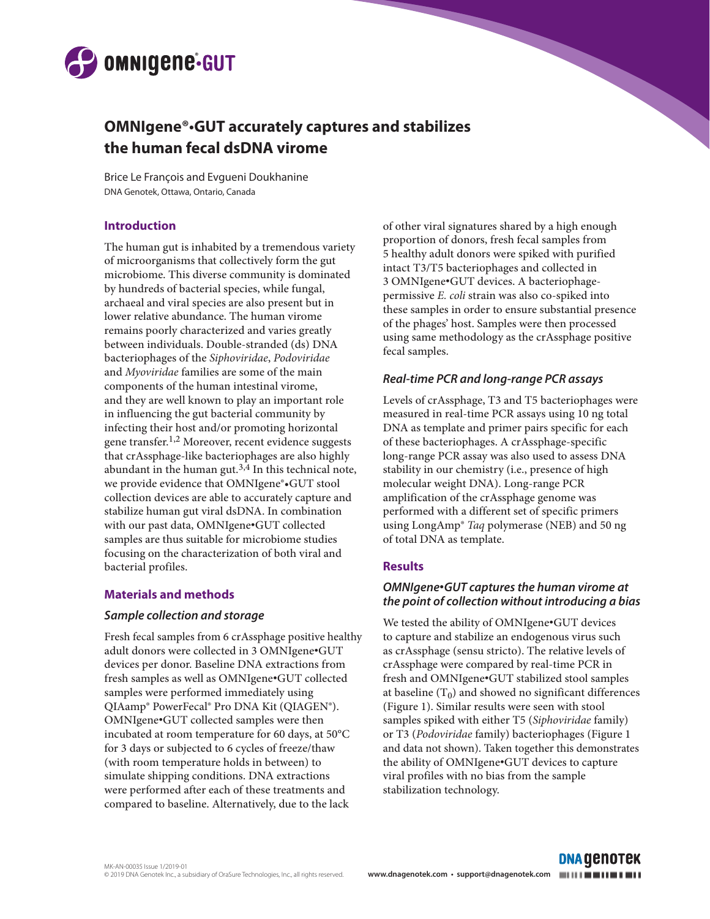

# **OMNIgene®•GUT accurately captures and stabilizes the human fecal dsDNA virome**

Brice Le François and Evgueni Doukhanine DNA Genotek, Ottawa, Ontario, Canada

#### **Introduction**

The human gut is inhabited by a tremendous variety of microorganisms that collectively form the gut microbiome. This diverse community is dominated by hundreds of bacterial species, while fungal, archaeal and viral species are also present but in lower relative abundance. The human virome remains poorly characterized and varies greatly between individuals. Double-stranded (ds) DNA bacteriophages of the *Siphoviridae*, *Podoviridae* and *Myoviridae* families are some of the main components of the human intestinal virome, and they are well known to play an important role in influencing the gut bacterial community by infecting their host and/or promoting horizontal gene transfer.<sup>1,2</sup> Moreover, recent evidence suggests that crAssphage-like bacteriophages are also highly abundant in the human gut. $3,4$  In this technical note, we provide evidence that OMNIgene®•GUT stool collection devices are able to accurately capture and stabilize human gut viral dsDNA. In combination with our past data, OMNIgene•GUT collected samples are thus suitable for microbiome studies focusing on the characterization of both viral and bacterial profiles.

## **Materials and methods**

#### *Sample collection and storage*

Fresh fecal samples from 6 crAssphage positive healthy adult donors were collected in 3 OMNIgene•GUT devices per donor. Baseline DNA extractions from fresh samples as well as OMNIgene•GUT collected samples were performed immediately using QIAamp® PowerFecal® Pro DNA Kit (QIAGEN®). OMNIgene•GUT collected samples were then incubated at room temperature for 60 days, at 50°C for 3 days or subjected to 6 cycles of freeze/thaw (with room temperature holds in between) to simulate shipping conditions. DNA extractions were performed after each of these treatments and compared to baseline. Alternatively, due to the lack

of other viral signatures shared by a high enough proportion of donors, fresh fecal samples from 5 healthy adult donors were spiked with purified intact T3/T5 bacteriophages and collected in 3 OMNIgene•GUT devices. A bacteriophagepermissive *E. coli* strain was also co-spiked into these samples in order to ensure substantial presence of the phages' host. Samples were then processed using same methodology as the crAssphage positive fecal samples.

#### *Real-time PCR and long-range PCR assays*

Levels of crAssphage, T3 and T5 bacteriophages were measured in real-time PCR assays using 10 ng total DNA as template and primer pairs specific for each of these bacteriophages. A crAssphage-specific long-range PCR assay was also used to assess DNA stability in our chemistry (i.e., presence of high molecular weight DNA). Long-range PCR amplification of the crAssphage genome was performed with a different set of specific primers using LongAmp® *Taq* polymerase (NEB) and 50 ng of total DNA as template.

## **Results**

#### *OMNIgene*•*GUT captures the human virome at the point of collection without introducing a bias*

We tested the ability of OMNIgene•GUT devices to capture and stabilize an endogenous virus such as crAssphage (sensu stricto). The relative levels of crAssphage were compared by real-time PCR in fresh and OMNIgene•GUT stabilized stool samples at baseline  $(T_0)$  and showed no significant differences (Figure 1). Similar results were seen with stool samples spiked with either T5 (*Siphoviridae* family) or T3 (*Podoviridae* family) bacteriophages (Figure 1 and data not shown). Taken together this demonstrates the ability of OMNIgene•GUT devices to capture viral profiles with no bias from the sample stabilization technology.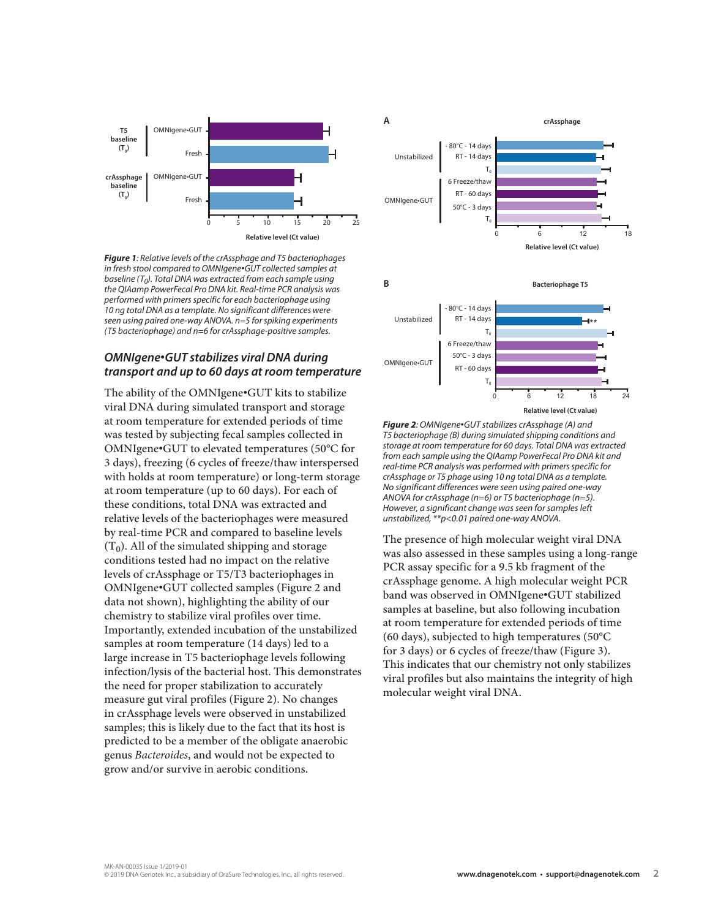

*Figure 1: Relative levels of the crAssphage and T5 bacteriophages in fresh stool compared to OMNIgene*•*GUT collected samples at baseline (T0). Total DNA was extracted from each sample using the QIAamp PowerFecal Pro DNA kit. Real-time PCR analysis was performed with primers specific for each bacteriophage using 10 ng total DNA as a template. No significant differences were seen using paired one-way ANOVA. n=5 for spiking experiments (T5 bacteriophage) and n=6 for crAssphage-positive samples.* 

#### *OMNIgene*•*GUT stabilizes viral DNA during transport and up to 60 days at room temperature*

The ability of the OMNIgene•GUT kits to stabilize viral DNA during simulated transport and storage at room temperature for extended periods of time was tested by subjecting fecal samples collected in OMNIgene•GUT to elevated temperatures (50°C for 3 days), freezing (6 cycles of freeze/thaw interspersed with holds at room temperature) or long-term storage at room temperature (up to 60 days). For each of these conditions, total DNA was extracted and relative levels of the bacteriophages were measured by real-time PCR and compared to baseline levels  $(T_0)$ . All of the simulated shipping and storage conditions tested had no impact on the relative levels of crAssphage or T5/T3 bacteriophages in OMNIgene•GUT collected samples (Figure 2 and data not shown), highlighting the ability of our chemistry to stabilize viral profiles over time. Importantly, extended incubation of the unstabilized samples at room temperature (14 days) led to a large increase in T5 bacteriophage levels following infection/lysis of the bacterial host. This demonstrates the need for proper stabilization to accurately measure gut viral profiles (Figure 2). No changes in crAssphage levels were observed in unstabilized samples; this is likely due to the fact that its host is predicted to be a member of the obligate anaerobic genus *Bacteroides*, and would not be expected to grow and/or survive in aerobic conditions.



*Figure 2: OMNIgene*•*GUT stabilizes crAssphage (A) and T5 bacteriophage (B) during simulated shipping conditions and storage at room temperature for 60 days. Total DNA was extracted from each sample using the QIAamp PowerFecal Pro DNA kit and real-time PCR analysis was performed with primers specific for crAssphage or T5 phage using 10 ng total DNA as a template. No significant differences were seen using paired one-way ANOVA for crAssphage (n=6) or T5 bacteriophage (n=5). However, a significant change was seen for samples left unstabilized, \*\*p<0.01 paired one-way ANOVA.* 

**Relative level (Ct value)**

The presence of high molecular weight viral DNA was also assessed in these samples using a long-range PCR assay specific for a 9.5 kb fragment of the crAssphage genome. A high molecular weight PCR band was observed in OMNIgene•GUT stabilized samples at baseline, but also following incubation at room temperature for extended periods of time (60 days), subjected to high temperatures (50°C for 3 days) or 6 cycles of freeze/thaw (Figure 3). This indicates that our chemistry not only stabilizes viral profiles but also maintains the integrity of high molecular weight viral DNA.